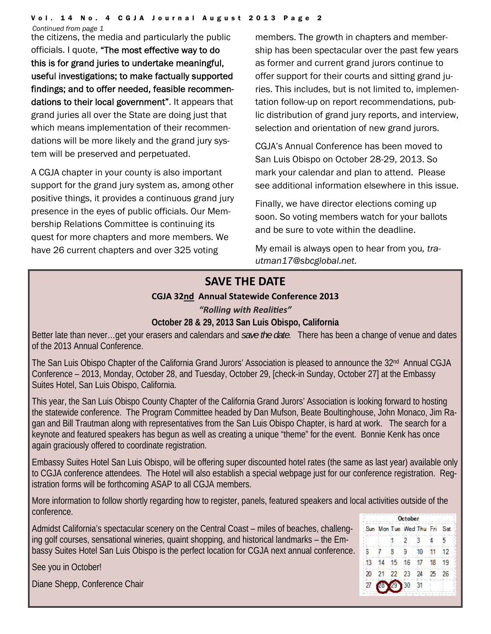*Continued from page 1* 

the citizens, the media and particularly the public officials. I quote, "The most effective way to do this is for grand juries to undertake meaningful, useful investigations; to make factually supported findings; and to offer needed, feasible recommendations to their local government". It appears that grand juries all over the State are doing just that which means implementation of their recommendations will be more likely and the grand jury system will be preserved and perpetuated.

A CGJA chapter in your county is also important support for the grand jury system as, among other positive things, it provides a continuous grand jury presence in the eyes of public officials. Our Membership Relations Committee is continuing its quest for more chapters and more members. We have 26 current chapters and over 325 voting

members. The growth in chapters and membership has been spectacular over the past few years as former and current grand jurors continue to offer support for their courts and sitting grand juries. This includes, but is not limited to, implementation follow-up on report recommendations, public distribution of grand jury reports, and interview, selection and orientation of new grand jurors.

CGJA's Annual Conference has been moved to San Luis Obispo on October 28-29, 2013. So mark your calendar and plan to attend. Please see additional information elsewhere in this issue.

Finally, we have director elections coming up soon. So voting members watch for your ballots and be sure to vote within the deadline.

My email is always open to hear from you*, trautman17@sbcglobal.net.*

# **SAVE THE DATE**

## **CGJA 32nd Annual Statewide Conference 2013**

## *"Rolling with RealiƟes"*

## **October 28 & 29, 2013 San Luis Obispo, California**

Better late than never…get your erasers and calendars and *save the date*. There has been a change of venue and dates of the 2013 Annual Conference.

The San Luis Obispo Chapter of the California Grand Jurors' Association is pleased to announce the 32<sup>nd</sup> Annual CGJA Conference – 2013, Monday, October 28, and Tuesday, October 29, [check-in Sunday, October 27] at the Embassy Suites Hotel, San Luis Obispo, California.

This year, the San Luis Obispo County Chapter of the California Grand Jurors' Association is looking forward to hosting the statewide conference. The Program Committee headed by Dan Mufson, Beate Boultinghouse, John Monaco, Jim Ragan and Bill Trautman along with representatives from the San Luis Obispo Chapter, is hard at work. The search for a keynote and featured speakers has begun as well as creating a unique "theme" for the event. Bonnie Kenk has once again graciously offered to coordinate registration.

Embassy Suites Hotel San Luis Obispo, will be offering super discounted hotel rates (the same as last year) available only to CGJA conference attendees. The Hotel will also establish a special webpage just for our conference registration. Registration forms will be forthcoming ASAP to all CGJA members.

More information to follow shortly regarding how to register, panels, featured speakers and local activities outside of the conference.

Admidst California's spectacular scenery on the Central Coast – miles of beaches, challenging golf courses, sensational wineries, quaint shopping, and historical landmarks – the Embassy Suites Hotel San Luis Obispo is the perfect location for CGJA next annual conference.

October Sun Mon Tue Wed Thu Fri Sat 'n  $\overline{2}$ 3  $\blacktriangle$ 5 ô. 8 9 10 11 12 14 15 16 17 18 19 13 21 22 23 24 25 26  $20^{\circ}$ 30 31 27

See you in October!

Diane Shepp, Conference Chair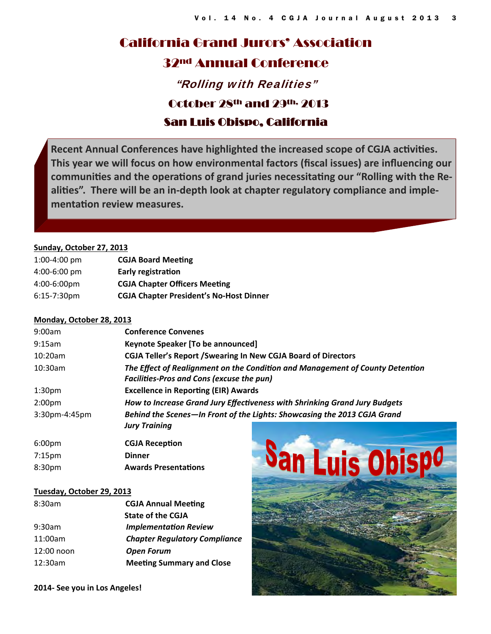# California Grand Jurors' Association 32nd Annual Conference "Rolling with Realities" October 28th and 29th, 2013 San Luis Obispo, California

**Recent Annual Conferences have highlighted the increased scope of CGJA acƟviƟes. This year we will focus on how environmental factors (fiscal issues) are influencing our communiƟes and the operaƟons of grand juries necessitaƟng our "Rolling with the RealiƟes". There will be an in-depth look at chapter regulatory compliance and implementaƟon review measures.**

#### **Sunday, October 27, 2013**

| $1:00-4:00$ pm        | <b>CGJA Board Meeting</b>                      |
|-----------------------|------------------------------------------------|
| $4:00 - 6:00$ pm      | <b>Early registration</b>                      |
| $4:00-6:00 \text{pm}$ | <b>CGJA Chapter Officers Meeting</b>           |
| $6:15-7:30$ pm        | <b>CGJA Chapter President's No-Host Dinner</b> |

#### **Monday, October 28, 2013**

| 9:00am             | <b>Conference Convenes</b>                                                    |  |  |  |  |  |  |
|--------------------|-------------------------------------------------------------------------------|--|--|--|--|--|--|
| 9:15am             | Keynote Speaker [To be announced]                                             |  |  |  |  |  |  |
| 10:20am            | <b>CGJA Teller's Report / Swearing In New CGJA Board of Directors</b>         |  |  |  |  |  |  |
| $10:30$ am         | The Effect of Realignment on the Condition and Management of County Detention |  |  |  |  |  |  |
|                    | <b>Facilities-Pros and Cons (excuse the pun)</b>                              |  |  |  |  |  |  |
| 1:30 <sub>pm</sub> | <b>Excellence in Reporting (EIR) Awards</b>                                   |  |  |  |  |  |  |
| 2:00 <sub>pm</sub> | How to Increase Grand Jury Effectiveness with Shrinking Grand Jury Budgets    |  |  |  |  |  |  |
| $3:30$ pm-4:45pm   | Behind the Scenes-In Front of the Lights: Showcasing the 2013 CGJA Grand      |  |  |  |  |  |  |
|                    | <b>Jury Training</b>                                                          |  |  |  |  |  |  |
| 6:00 <sub>pm</sub> | <b>CGJA Reception</b>                                                         |  |  |  |  |  |  |
| 7:15 <sub>pm</sub> | <b>Dinner</b>                                                                 |  |  |  |  |  |  |
| 8:30pm             | <b>Awards Presentations</b>                                                   |  |  |  |  |  |  |

#### **Tuesday, October 29, 2013**

| 8:30am     | <b>CGJA Annual Meeting</b>           |  |  |  |
|------------|--------------------------------------|--|--|--|
|            | <b>State of the CGJA</b>             |  |  |  |
| 9:30am     | <b>Implementation Review</b>         |  |  |  |
| 11:00am    | <b>Chapter Regulatory Compliance</b> |  |  |  |
| 12:00 noon | <b>Open Forum</b>                    |  |  |  |
| 12:30am    | <b>Meeting Summary and Close</b>     |  |  |  |
|            |                                      |  |  |  |



**2014- See you in Los Angeles!**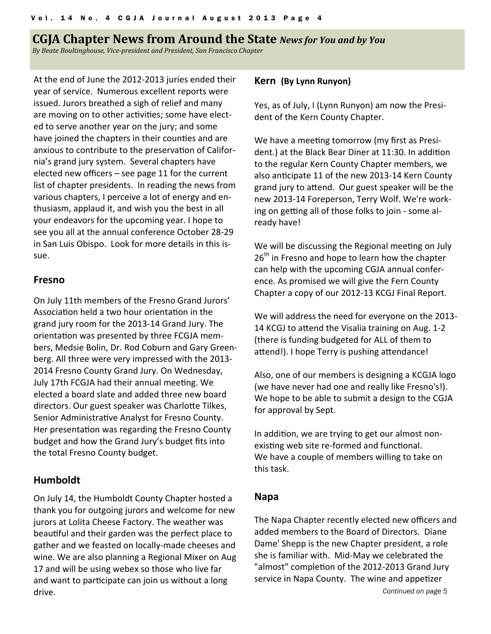## **CGJA** Chapter News from Around the State *News for You and by You*

*By Beate Boultinghouse, Vice‐president and President, San Francisco Chapter*

At the end of June the 2012‐2013 juries ended their year of service. Numerous excellent reports were issued. Jurors breathed a sigh of relief and many are moving on to other activities; some have elected to serve another year on the jury; and some have joined the chapters in their counties and are anxious to contribute to the preservation of California's grand jury system. Several chapters have elected new officers – see page 11 for the current list of chapter presidents. In reading the news from various chapters, I perceive a lot of energy and en‐ thusiasm, applaud it, and wish you the best in all your endeavors for the upcoming year. I hope to see you all at the annual conference October 28‐29 in San Luis Obispo. Look for more details in this is‐ sue.

### **Fresno**

On July 11th members of the Fresno Grand Jurors' Association held a two hour orientation in the grand jury room for the 2013‐14 Grand Jury. The orientaƟon was presented by three FCGJA mem‐ bers, Medsie Bolin, Dr. Rod Coburn and Gary Green‐ berg. All three were very impressed with the 2013‐ 2014 Fresno County Grand Jury. On Wednesday, July 17th FCGJA had their annual meeting. We elected a board slate and added three new board directors. Our guest speaker was Charlotte Tilkes, Senior Administrative Analyst for Fresno County. Her presentation was regarding the Fresno County budget and how the Grand Jury's budget fits into the total Fresno County budget.

## **Humboldt**

On July 14, the Humboldt County Chapter hosted a thank you for outgoing jurors and welcome for new jurors at Lolita Cheese Factory. The weather was beautiful and their garden was the perfect place to gather and we feasted on locally‐made cheeses and wine. We are also planning a Regional Mixer on Aug 17 and will be using webex so those who live far and want to participate can join us without a long drive.

#### **Kern (By Lynn Runyon)**

Yes, as of July, I (Lynn Runyon) am now the Presi‐ dent of the Kern County Chapter.

We have a meeting tomorrow (my first as President.) at the Black Bear Diner at 11:30. In addition to the regular Kern County Chapter members, we also anticipate 11 of the new 2013-14 Kern County grand jury to attend. Our guest speaker will be the new 2013‐14 Foreperson, Terry Wolf. We're work‐ ing on getting all of those folks to join - some already have!

We will be discussing the Regional meeting on July  $26<sup>th</sup>$  in Fresno and hope to learn how the chapter can help with the upcoming CGJA annual confer‐ ence. As promised we will give the Fern County Chapter a copy of our 2012‐13 KCGJ Final Report.

We will address the need for everyone on the 2013‐ 14 KCGJ to attend the Visalia training on Aug. 1-2 (there is funding budgeted for ALL of them to attend!). I hope Terry is pushing attendance!

Also, one of our members is designing a KCGJA logo (we have never had one and really like Fresno's!). We hope to be able to submit a design to the CGJA for approval by Sept.

In addition, we are trying to get our almost nonexisting web site re-formed and functional. We have a couple of members willing to take on this task.

## **Napa**

The Napa Chapter recently elected new officers and added members to the Board of Directors. Diane Dame' Shepp is the new Chapter president, a role she is familiar with. Mid‐May we celebrated the "almost" completion of the 2012-2013 Grand Jury service in Napa County. The wine and appetizer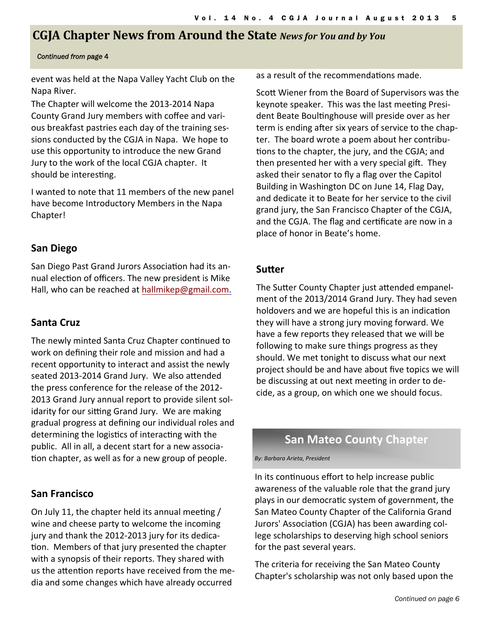# **CGJA** Chapter News from Around the State News for You and by You

#### *Continued from page* 4

event was held at the Napa Valley Yacht Club on the Napa River.

The Chapter will welcome the 2013‐2014 Napa County Grand Jury members with coffee and vari‐ ous breakfast pastries each day of the training ses‐ sions conducted by the CGJA in Napa. We hope to use this opportunity to introduce the new Grand Jury to the work of the local CGJA chapter. It should be interesting.

I wanted to note that 11 members of the new panel have become Introductory Members in the Napa Chapter!

## **San Diego**

San Diego Past Grand Jurors Association had its annual election of officers. The new president is Mike Hall, who can be reached at hallmikep@gmail.com.

## **Santa Cruz**

The newly minted Santa Cruz Chapter continued to work on defining their role and mission and had a recent opportunity to interact and assist the newly seated 2013-2014 Grand Jury. We also attended the press conference for the release of the 2012‐ 2013 Grand Jury annual report to provide silent sol‐ idarity for our sitting Grand Jury. We are making gradual progress at defining our individual roles and determining the logistics of interacting with the public. All in all, a decent start for a new associa‐ tion chapter, as well as for a new group of people.

## **San Francisco**

On July 11, the chapter held its annual meeting / wine and cheese party to welcome the incoming jury and thank the 2012‐2013 jury for its dedica‐ Ɵon. Members of that jury presented the chapter with a synopsis of their reports. They shared with us the attention reports have received from the media and some changes which have already occurred

as a result of the recommendations made.

Scott Wiener from the Board of Supervisors was the keynote speaker. This was the last meeting President Beate Boultinghouse will preside over as her term is ending after six years of service to the chapter. The board wrote a poem about her contribu‐ tions to the chapter, the jury, and the CGJA; and then presented her with a very special gift. They asked their senator to fly a flag over the Capitol Building in Washington DC on June 14, Flag Day, and dedicate it to Beate for her service to the civil grand jury, the San Francisco Chapter of the CGJA, and the CGJA. The flag and certificate are now in a place of honor in Beate's home.

## **SuƩer**

The Sutter County Chapter just attended empanelment of the 2013/2014 Grand Jury. They had seven holdovers and we are hopeful this is an indication they will have a strong jury moving forward. We have a few reports they released that we will be following to make sure things progress as they should. We met tonight to discuss what our next project should be and have about five topics we will be discussing at out next meeting in order to decide, as a group, on which one we should focus.

## **San Mateo County Chapter**

*By: Barbara Arieta, President*

In its continuous effort to help increase public awareness of the valuable role that the grand jury plays in our democratic system of government, the San Mateo County Chapter of the California Grand Jurors' Association (CGJA) has been awarding college scholarships to deserving high school seniors for the past several years.

The criteria for receiving the San Mateo County Chapter's scholarship was not only based upon the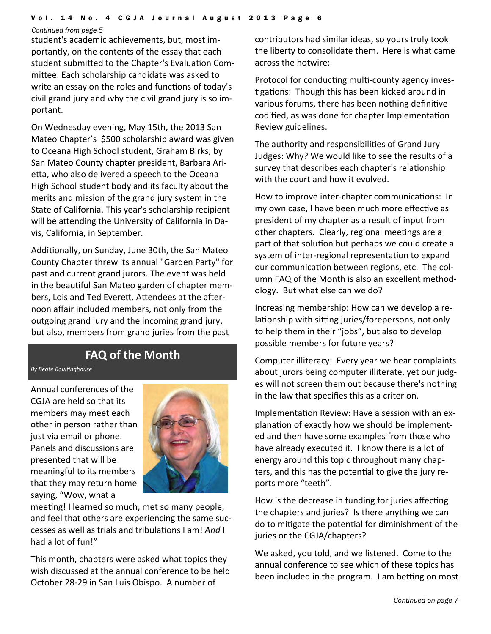*Continued from page 5* 

student's academic achievements, but, most im‐ portantly, on the contents of the essay that each student submitted to the Chapter's Evaluation Committee. Each scholarship candidate was asked to write an essay on the roles and functions of today's civil grand jury and why the civil grand jury is so im‐ portant.

On Wednesday evening, May 15th, the 2013 San Mateo Chapter's \$500 scholarship award was given to Oceana High School student, Graham Birks, by San Mateo County chapter president, Barbara Ari‐ etta, who also delivered a speech to the Oceana High School student body and its faculty about the merits and mission of the grand jury system in the State of California. This year's scholarship recipient will be attending the University of California in Davis, California, in September.

Additionally, on Sunday, June 30th, the San Mateo County Chapter threw its annual "Garden Party" for past and current grand jurors. The event was held in the beautiful San Mateo garden of chapter members, Lois and Ted Everett. Attendees at the afternoon affair included members, not only from the outgoing grand jury and the incoming grand jury, but also, members from grand juries from the past

# **FAQ of the Month**

*By Beate BoulƟnghouse*

Annual conferences of the CGJA are held so that its members may meet each other in person rather than just via email or phone. Panels and discussions are presented that will be meaningful to its members that they may return home saying, "Wow, what a



meeting! I learned so much, met so many people, and feel that others are experiencing the same suc‐ cesses as well as trials and tribulations I am! *And* I had a lot of fun!"

This month, chapters were asked what topics they wish discussed at the annual conference to be held October 28‐29 in San Luis Obispo. A number of

contributors had similar ideas, so yours truly took the liberty to consolidate them. Here is what came across the hotwire:

Protocol for conducting multi-county agency investigations: Though this has been kicked around in various forums, there has been nothing definitive codified, as was done for chapter Implementation Review guidelines.

The authority and responsibilities of Grand Jury Judges: Why? We would like to see the results of a survey that describes each chapter's relationship with the court and how it evolved.

How to improve inter-chapter communications: In my own case, I have been much more effective as president of my chapter as a result of input from other chapters. Clearly, regional meetings are a part of that solution but perhaps we could create a system of inter-regional representation to expand our communication between regions, etc. The column FAQ of the Month is also an excellent method‐ ology. But what else can we do?

Increasing membership: How can we develop a re‐ lationship with sitting juries/forepersons, not only to help them in their "jobs", but also to develop possible members for future years?

Computer illiteracy: Every year we hear complaints about jurors being computer illiterate, yet our judg‐ es will not screen them out because there's nothing in the law that specifies this as a criterion.

Implementation Review: Have a session with an explanation of exactly how we should be implemented and then have some examples from those who have already executed it. I know there is a lot of energy around this topic throughout many chap‐ ters, and this has the potential to give the jury reports more "teeth".

How is the decrease in funding for juries affecting the chapters and juries? Is there anything we can do to mitigate the potential for diminishment of the juries or the CGJA/chapters?

We asked, you told, and we listened. Come to the annual conference to see which of these topics has been included in the program. I am betting on most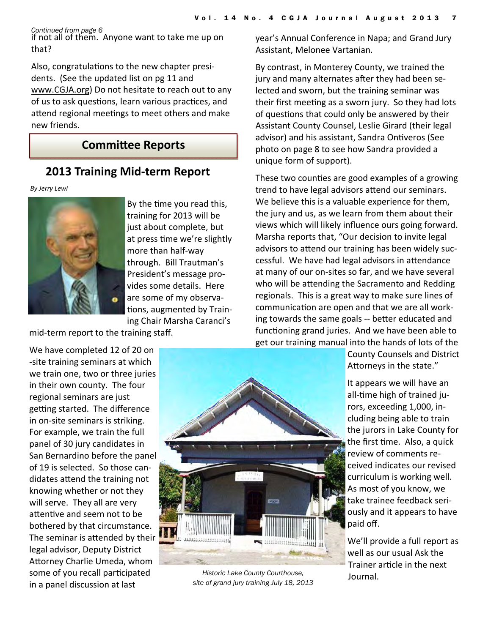*Continued from page 6*

if not all of them. Anyone want to take me up on that?

Also, congratulations to the new chapter presidents. (See the updated list on pg 11 and www.CGJA.org) Do not hesitate to reach out to any of us to ask questions, learn various practices, and attend regional meetings to meet others and make new friends.

# **CommiƩee Reports**

# **2013 Training Mid-term Report**

*By Jerry Lewi*



By the time you read this, training for 2013 will be just about complete, but at press time we're slightly more than half‐way through. Bill Trautman's President's message pro‐ vides some details. Here are some of my observa‐ tions, augmented by Training Chair Marsha Caranci's

mid‐term report to the training staff.

We have completed 12 of 20 on ‐site training seminars at which we train one, two or three juries in their own county. The four regional seminars are just getting started. The difference in on‐site seminars is striking. For example, we train the full panel of 30 jury candidates in San Bernardino before the panel of 19 is selected. So those can‐ didates attend the training not knowing whether or not they will serve. They all are very attentive and seem not to be bothered by that circumstance. The seminar is attended by their legal advisor, Deputy District Attorney Charlie Umeda, whom some of you recall participated in a panel discussion at last



*Historic Lake County Courthouse, site of grand jury training July 18, 2013* 

year's Annual Conference in Napa; and Grand Jury Assistant, Melonee Vartanian.

By contrast, in Monterey County, we trained the jury and many alternates after they had been selected and sworn, but the training seminar was their first meeting as a sworn jury. So they had lots of questions that could only be answered by their Assistant County Counsel, Leslie Girard (their legal advisor) and his assistant, Sandra Ontiveros (See photo on page 8 to see how Sandra provided a unique form of support).

These two counties are good examples of a growing trend to have legal advisors attend our seminars. We believe this is a valuable experience for them, the jury and us, as we learn from them about their views which will likely influence ours going forward. Marsha reports that, "Our decision to invite legal advisors to attend our training has been widely successful. We have had legal advisors in attendance at many of our on‐sites so far, and we have several who will be attending the Sacramento and Redding regionals. This is a great way to make sure lines of communication are open and that we are all working towards the same goals -- better educated and functioning grand juries. And we have been able to get our training manual into the hands of lots of the

County Counsels and District Attorneys in the state."

It appears we will have an all-time high of trained jurors, exceeding 1,000, in‐ cluding being able to train the jurors in Lake County for the first time. Also, a quick review of comments re‐ ceived indicates our revised curriculum is working well. As most of you know, we take trainee feedback seri‐ ously and it appears to have paid off.

We'll provide a full report as well as our usual Ask the Trainer article in the next Journal.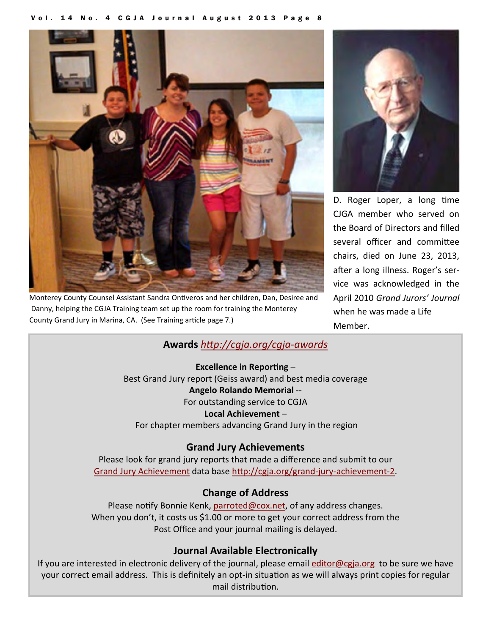

Monterey County Counsel Assistant Sandra Ontiveros and her children, Dan, Desiree and Danny, helping the CGJA Training team set up the room for training the Monterey County Grand Jury in Marina, CA. (See Training article page 7.)



D. Roger Loper, a long time CJGA member who served on the Board of Directors and filled several officer and committee chairs, died on June 23, 2013, after a long illness. Roger's service was acknowledged in the April 2010 *Grand Jurors' Journal* when he was made a Life Member.

## **Awards** *hƩp://cgja.org/cgja‐awards*

**Excellence in Reporting –** Best Grand Jury report (Geiss award) and best media coverage **Angelo Rolando Memorial** ‐‐ For outstanding service to CGJA **Local Achievement** – For chapter members advancing Grand Jury in the region

## **Grand Jury Achievements**

Please look for grand jury reports that made a difference and submit to our Grand Jury Achievement data base http://cgja.org/grand-jury-achievement-2.

## **Change of Address**

Please notify Bonnie Kenk, parroted@cox.net, of any address changes. When you don't, it costs us \$1.00 or more to get your correct address from the Post Office and your journal mailing is delayed.

## **Journal Available Electronically**

If you are interested in electronic delivery of the journal, please email editor@cgja.org to be sure we have your correct email address. This is definitely an opt-in situation as we will always print copies for regular mail distribution.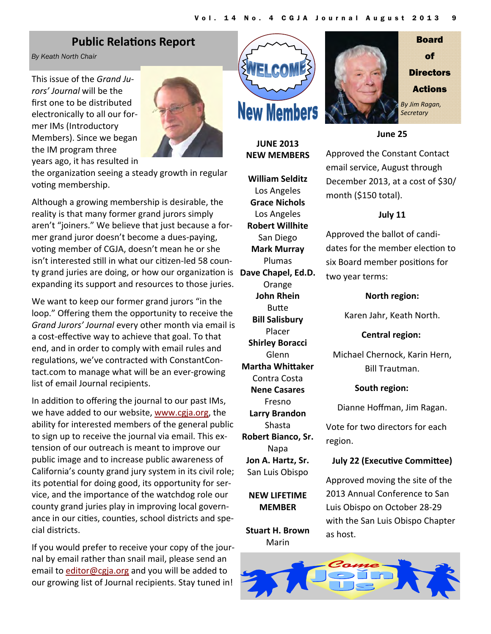# **Public Relations Report**

*By Keath North Chair* 

This issue of the *Grand Ju‐ rors' Journal* will be the first one to be distributed electronically to all our for‐ mer IMs (Introductory Members). Since we began the IM program three years ago, it has resulted in



the organization seeing a steady growth in regular voting membership.

Although a growing membership is desirable, the reality is that many former grand jurors simply aren't "joiners." We believe that just because a for‐ mer grand juror doesn't become a dues‐paying, voting member of CGJA, doesn't mean he or she isn't interested still in what our citizen-led 58 county grand juries are doing, or how our organizaƟon is **Dave Chapel, Ed.D.** expanding its support and resources to those juries.

We want to keep our former grand jurors "in the loop." Offering them the opportunity to receive the *Grand Jurors' Journal* every other month via email is a cost-effective way to achieve that goal. To that end, and in order to comply with email rules and regulations, we've contracted with ConstantContact.com to manage what will be an ever‐growing list of email Journal recipients.

In addition to offering the journal to our past IMs, we have added to our website, www.cgja.org, the ability for interested members of the general public to sign up to receive the journal via email. This ex‐ tension of our outreach is meant to improve our public image and to increase public awareness of California's county grand jury system in its civil role; its potential for doing good, its opportunity for service, and the importance of the watchdog role our county grand juries play in improving local govern‐ ance in our cities, counties, school districts and special districts.

If you would prefer to receive your copy of the jour‐ nal by email rather than snail mail, please send an email to editor@cgja.org and you will be added to our growing list of Journal recipients. Stay tuned in!



**JUNE 2013 NEW MEMBERS**

**William Selditz** Los Angeles **Grace Nichols** Los Angeles **Robert Willhite** San Diego **Mark Murray** Plumas **Orange John Rhein Butte Bill Salisbury** Placer **Shirley Boracci** Glenn **Martha WhiƩaker** Contra Costa **Nene Casares** Fresno **Larry Brandon** Shasta **Robert Bianco, Sr.** Napa **Jon A. Hartz, Sr.** San Luis Obispo

**NEW LIFETIME MEMBER**

**Stuart H. Brown** Marin





#### **June 25**

Approved the Constant Contact email service, August through December 2013, at a cost of \$30/ month (\$150 total).

## **July 11**

Approved the ballot of candi‐ dates for the member election to six Board member positions for two year terms:

#### **North region:**

Karen Jahr, Keath North.

**Central region:** 

Michael Chernock, Karin Hern, Bill Trautman.

#### **South region:**

Dianne Hoffman, Jim Ragan.

Vote for two directors for each region.

#### **July 22 (ExecuƟve CommiƩee)**

Approved moving the site of the 2013 Annual Conference to San Luis Obispo on October 28‐29 with the San Luis Obispo Chapter as host.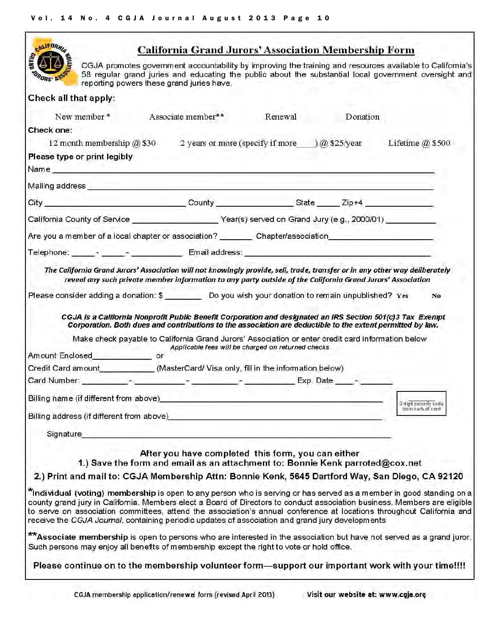| <b>CALIFORN</b>                                                                                                                                                                                                                                                |                                                                                                     |                                                    | <b>California Grand Jurors' Association Membership Form</b>                                                                                                                                                                                                                                                                   |                                                                                                                                                                                                                                                                                                                                                                            |
|----------------------------------------------------------------------------------------------------------------------------------------------------------------------------------------------------------------------------------------------------------------|-----------------------------------------------------------------------------------------------------|----------------------------------------------------|-------------------------------------------------------------------------------------------------------------------------------------------------------------------------------------------------------------------------------------------------------------------------------------------------------------------------------|----------------------------------------------------------------------------------------------------------------------------------------------------------------------------------------------------------------------------------------------------------------------------------------------------------------------------------------------------------------------------|
|                                                                                                                                                                                                                                                                | reporting powers these grand juries have.                                                           |                                                    |                                                                                                                                                                                                                                                                                                                               | CGJA promotes government accountability by improving the training and resources available to Califomia's<br>58 regular grand juries and educating the public about the substantial local government oversight and                                                                                                                                                          |
| Check all that apply:                                                                                                                                                                                                                                          |                                                                                                     |                                                    |                                                                                                                                                                                                                                                                                                                               |                                                                                                                                                                                                                                                                                                                                                                            |
| New member*                                                                                                                                                                                                                                                    | Associate member**                                                                                  | Renewal                                            | Donation                                                                                                                                                                                                                                                                                                                      |                                                                                                                                                                                                                                                                                                                                                                            |
| Check one:                                                                                                                                                                                                                                                     |                                                                                                     |                                                    |                                                                                                                                                                                                                                                                                                                               |                                                                                                                                                                                                                                                                                                                                                                            |
|                                                                                                                                                                                                                                                                | 12 month membership $\hat{\omega}$ \$30 2 years or more (specify if more ) $\hat{\omega}$ \$25/year |                                                    |                                                                                                                                                                                                                                                                                                                               | Lifetime $@$ \$500                                                                                                                                                                                                                                                                                                                                                         |
| Please type or print legibly<br>Name and the contract of the contract of the contract of the contract of the contract of the contract of the contract of the contract of the contract of the contract of the contract of the contract of the contract of the c |                                                                                                     |                                                    |                                                                                                                                                                                                                                                                                                                               |                                                                                                                                                                                                                                                                                                                                                                            |
| Mailing address experience and the contract of the contract of the contract of the contract of the contract of                                                                                                                                                 |                                                                                                     |                                                    |                                                                                                                                                                                                                                                                                                                               |                                                                                                                                                                                                                                                                                                                                                                            |
| City County County State Zip+4                                                                                                                                                                                                                                 |                                                                                                     |                                                    |                                                                                                                                                                                                                                                                                                                               |                                                                                                                                                                                                                                                                                                                                                                            |
| California County of Service _________________________Year(s) served on Grand Jury (e.g., 2000/01) __________                                                                                                                                                  |                                                                                                     |                                                    |                                                                                                                                                                                                                                                                                                                               |                                                                                                                                                                                                                                                                                                                                                                            |
| Are you a member of a local chapter or association? _________Chapter/association                                                                                                                                                                               |                                                                                                     |                                                    |                                                                                                                                                                                                                                                                                                                               |                                                                                                                                                                                                                                                                                                                                                                            |
| Telephone: _______- ______________________ Email address: _______________________                                                                                                                                                                              |                                                                                                     |                                                    |                                                                                                                                                                                                                                                                                                                               |                                                                                                                                                                                                                                                                                                                                                                            |
|                                                                                                                                                                                                                                                                |                                                                                                     |                                                    | reveal any such private member information to any party outside of the California Grand Jurors' Association                                                                                                                                                                                                                   | The California Grand Jurors' Association will not knowingly provide, sell, trade, transfer or in any other way deliberately                                                                                                                                                                                                                                                |
| Please consider adding a donation: \$ Do you wish your donation to remain unpublished? Yes                                                                                                                                                                     |                                                                                                     |                                                    |                                                                                                                                                                                                                                                                                                                               | N <sub>0</sub>                                                                                                                                                                                                                                                                                                                                                             |
|                                                                                                                                                                                                                                                                |                                                                                                     | Applicable fees will be charged on returned checks | CGJA is a California Nonprofit Public Benefit Corporation and designated an IRS Section 501(c)3 Tax Exempt<br>Corporation. Both dues and contributions to the association are deductible to the extent permitted by law.<br>Make check payable to California Grand Jurors' Association or enter credit card information below |                                                                                                                                                                                                                                                                                                                                                                            |
| Amount Enclosed___________________ or                                                                                                                                                                                                                          |                                                                                                     |                                                    |                                                                                                                                                                                                                                                                                                                               |                                                                                                                                                                                                                                                                                                                                                                            |
| Credit Card amount __________(MasterCard/ Visa only, fill in the information below)                                                                                                                                                                            |                                                                                                     |                                                    |                                                                                                                                                                                                                                                                                                                               |                                                                                                                                                                                                                                                                                                                                                                            |
|                                                                                                                                                                                                                                                                |                                                                                                     |                                                    | $Exp. Date$ $-$                                                                                                                                                                                                                                                                                                               |                                                                                                                                                                                                                                                                                                                                                                            |
| Billing name (if different from above)                                                                                                                                                                                                                         |                                                                                                     |                                                    |                                                                                                                                                                                                                                                                                                                               |                                                                                                                                                                                                                                                                                                                                                                            |
| Billing address (if different from above)                                                                                                                                                                                                                      |                                                                                                     |                                                    |                                                                                                                                                                                                                                                                                                                               | 3 digit security code<br>from back of card                                                                                                                                                                                                                                                                                                                                 |
| Signature                                                                                                                                                                                                                                                      |                                                                                                     |                                                    |                                                                                                                                                                                                                                                                                                                               |                                                                                                                                                                                                                                                                                                                                                                            |
|                                                                                                                                                                                                                                                                | After you have completed this form, you can either                                                  |                                                    | 1.) Save the form and email as an attachment to: Bonnie Kenk parroted@cox.net                                                                                                                                                                                                                                                 |                                                                                                                                                                                                                                                                                                                                                                            |
|                                                                                                                                                                                                                                                                |                                                                                                     |                                                    |                                                                                                                                                                                                                                                                                                                               | 2.) Print and mail to: CGJA Membership Attn: Bonnie Kenk, 5645 Dartford Way, San Diego, CA 92120                                                                                                                                                                                                                                                                           |
| receive the CGJA Journal, containing periodic updates of association and grand jury developments                                                                                                                                                               |                                                                                                     |                                                    |                                                                                                                                                                                                                                                                                                                               | *Individual (voting) membership is open to any person who is serving or has served as a member in good standing on a<br>county grand jury in California. Members elect a Board of Directors to conduct association business. Members are eligible<br>to serve on association committees, attend the association's annual conference at locations throughout California and |
| Such persons may enjoy all benefits of membership except the right to vote or hold office.                                                                                                                                                                     |                                                                                                     |                                                    |                                                                                                                                                                                                                                                                                                                               | <b>**Associate membership</b> is open to persons who are interested in the association but have not served as a grand juror,                                                                                                                                                                                                                                               |
|                                                                                                                                                                                                                                                                |                                                                                                     |                                                    |                                                                                                                                                                                                                                                                                                                               | Please continue on to the membership volunteer form—support our important work with your time!!!!                                                                                                                                                                                                                                                                          |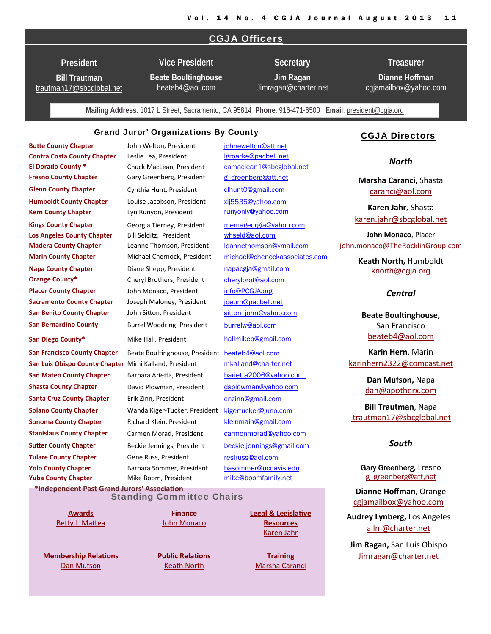#### CGJA Officers

**President** 

**Bill Trautman** trautman17@sbcglobal.net **Vice President**

**Beate Boultinghouse** beateb4@aol.com

**Jim Ragan**  Jimragan@charter.net

**Secretary** 

**Dianne Hoffman**  cgjamailbox@yahoo.com

**Treasurer** 

**Mailing Address**: 1017 L Street, Sacramento, CA 95814 **Phone**: 916-471-6500 **Email**: president@cgja.org

#### Grand Juror' Organizations By County

**Butte County Chapter butte County Chapter butte County Chapter County** Chapter **County Chapter County Chapter County Chapter County Chapter County Chapter County Chapter County Chapter County County Co Contra Costa County Chapter** Leslie Lea, President **leaft and the United States** League Lea, President

**El Dorado County \*** Chuck MacLean, President camaclean1@sbcglobal.net **Fresno County Chapter** Gary Greenberg, President g\_greenberg@att.net **Glenn County Chapter** Cynthia Hunt, President clhunt0@gmail.com **Humboldt County Chapter** Louise Jacobson, President xlj5535@yahoo.com **Kern County Chapter** Lyn Runyon, President runyonly@yahoo.com **Kings County Chapter** Georgia Tierney, President memageorgia@yahoo.com **Los Angeles County Chapter** Bill Selditz, President whseld@aol.com **Marin County Chapter** Michael Chernock, President michael@chenockassociates.com **Napa County Chapter Diane Shepp, President napacgia@gmail.com Orange County\*** Cheryl Brothers, President cherylbrot@aol.com **Placer County Chapter** John Monaco, President info@PCGJA.org **Sacramento County Chapter**  Joseph Maloney, President joepm@pacbell.net **San Benito County Chapter** John Sitton, President sitton john@yahoo.com **San Bernardino County** Burrel Woodring, President burrelw@aol.com **San Diego County\*** Mike Hall, President hallmikep@gmail.com **San Francisco County Chapter** Beate BoulƟnghouse, President beateb4@aol.com **San Luis Obispo County Chapter** Mimi Kalland, President mkalland@charter.net **San Mateo County Chapter**  Barbara ArieƩa, President barietta2006@yahoo.com **Shasta County Chapter David Plowman, President dsplowman@yahoo.com Solano County Chapter**  Wanda Kiger‐Tucker, President kigertucker@juno.com **Sonoma County Chapter** Richard Klein, President **Kleinmain@gmail.com Stanislaus County Chapter** Carmen Morad, President carmenmorad@yahoo.com **Sutter County Chapter** Beckie Jennings, President beckie.jennings@gmail.com **Tulare County Chapter** Gene Russ, President resiruss@aol.com **Yuba County Chapter** Mike Boom, President mike@boomfamily.net **\*Independent Past Grand Jurors' AssociaƟon Yolo County Chapter** Barbara Sommer, President basommer@ucdavis.edu **Madera County Chapter** Leanne Thomson, President leannethomson@ymail.com **Santa Cruz County Chapter** Erik Zinn, President enzinn@gmail.com

## Standing Committee Chairs

**Awards** Betty J. Mattea

**Membership RelaƟons** Dan Mufson

**Finance** John Monaco

**Public RelaƟons** Keath North

**Legal & LegislaƟve Resources** Karen Jahr

**Training** Marsha Caranci

#### CGJA Directors

*North* 

**Marsha Caranci,** Shasta caranci@aol.com

**Karen Jahr**, Shasta karen.jahr@sbcglobal.net

**John Monaco**, Placer john.monaco@TheRocklinGroup.com

> **Keath North,** Humboldt knorth@cgja.org

#### *Central*

**Beate BoulƟnghouse,** San Francisco beateb4@aol.com

**Karin Hern**, Marin karinhern2322@comcast.net

> **Dan Mufson,** Napa dan@apotherx.com

**Bill Trautman**, Napa trautman17@sbcglobal.net

#### *South*

Gary Greenberg, Fresno g\_greenberg@att,net

**Dianne Hoffman**, Orange cgjamailbox@yahoo.com

**Audrey Lynberg,** Los Angeles allm@charter.net

**Jim Ragan,** San Luis Obispo Jimragan@charter.net